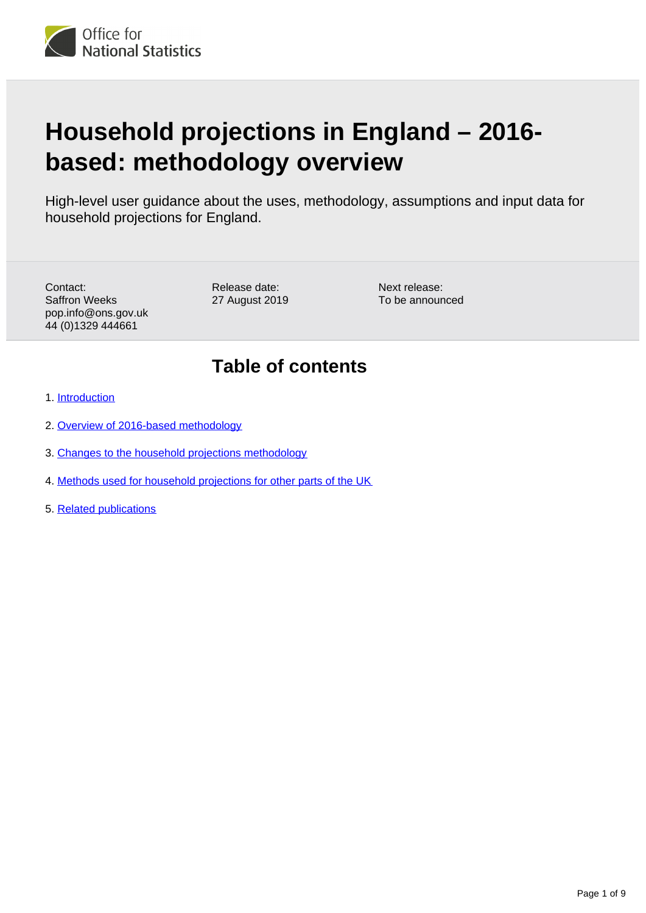<span id="page-0-0"></span>

# **Household projections in England – 2016 based: methodology overview**

High-level user guidance about the uses, methodology, assumptions and input data for household projections for England.

Contact: Saffron Weeks pop.info@ons.gov.uk 44 (0)1329 444661

Release date: 27 August 2019

Next release: To be announced

## **Table of contents**

- 1. [Introduction](#page-1-0)
- 2. [Overview of 2016-based methodology](#page-2-0)
- 3. [Changes to the household projections methodology](#page-5-0)
- 4. [Methods used for household projections for other parts of the UK](#page-8-0)
- 5. [Related publications](#page-8-1)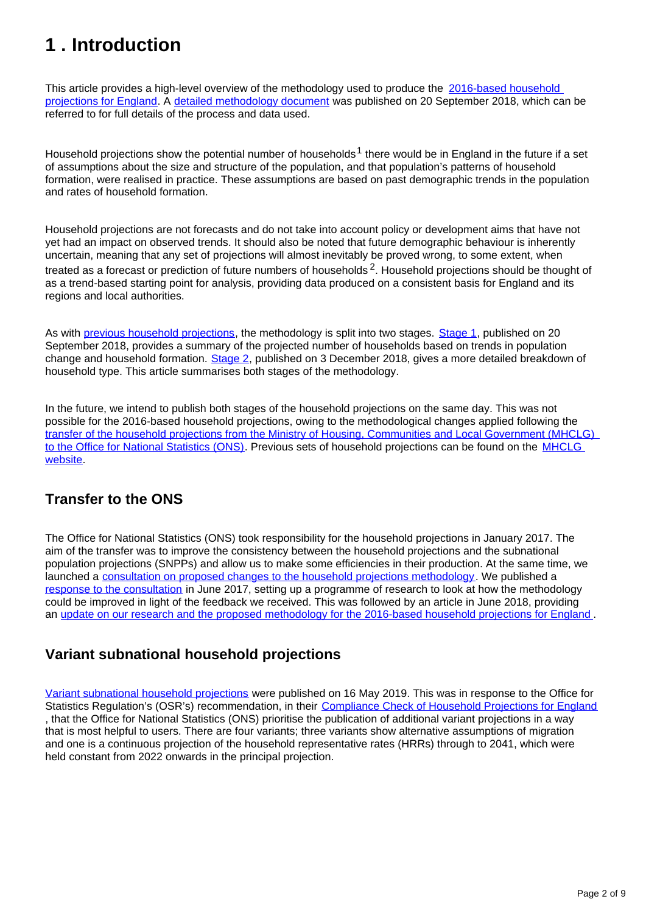## <span id="page-1-0"></span>**1 . Introduction**

This article provides a high-level overview of the methodology used to produce the 2016-based household [projections for England](https://www.ons.gov.uk/peoplepopulationandcommunity/populationandmigration/populationprojections/bulletins/2016basedhouseholdprojectionsinengland/2016basedhouseholdprojectionsinengland). A [detailed methodology document](https://www.ons.gov.uk/peoplepopulationandcommunity/populationandmigration/populationprojections/methodologies/methodologyusedtoproducehouseholdprojectionsforengland2016based) was published on 20 September 2018, which can be referred to for full details of the process and data used.

Household projections show the potential number of households<sup>1</sup> there would be in England in the future if a set of assumptions about the size and structure of the population, and that population's patterns of household formation, were realised in practice. These assumptions are based on past demographic trends in the population and rates of household formation.

Household projections are not forecasts and do not take into account policy or development aims that have not yet had an impact on observed trends. It should also be noted that future demographic behaviour is inherently uncertain, meaning that any set of projections will almost inevitably be proved wrong, to some extent, when treated as a forecast or prediction of future numbers of households  $2$ . Household projections should be thought of as a trend-based starting point for analysis, providing data produced on a consistent basis for England and its regions and local authorities.

As with [previous household projections,](https://www.gov.uk/government/collections/household-projections) the methodology is split into two stages. [Stage 1,](https://www.ons.gov.uk/peoplepopulationandcommunity/populationandmigration/populationprojections/bulletins/2016basedhouseholdprojectionsinengland/2016basedhouseholdprojectionsinengland) published on 20 September 2018, provides a summary of the projected number of households based on trends in population change and household formation. [Stage 2,](https://www.ons.gov.uk/peoplepopulationandcommunity/populationandmigration/populationprojections/bulletins/2016basedhouseholdprojectionsinengland/2016based) published on 3 December 2018, gives a more detailed breakdown of household type. This article summarises both stages of the methodology.

In the future, we intend to publish both stages of the household projections on the same day. This was not possible for the 2016-based household projections, owing to the methodological changes applied following the [transfer of the household projections from the Ministry of Housing, Communities and Local Government \(MHCLG\)](https://www.ons.gov.uk/news/news/transferofhouseholdprojectionstoons)  [to the Office for National Statistics \(ONS\).](https://www.ons.gov.uk/news/news/transferofhouseholdprojectionstoons) Previous sets of household projections can be found on the MHCLG [website](https://www.gov.uk/government/collections/household-projections).

### **Transfer to the ONS**

The Office for National Statistics (ONS) took responsibility for the household projections in January 2017. The aim of the transfer was to improve the consistency between the household projections and the subnational population projections (SNPPs) and allow us to make some efficiencies in their production. At the same time, we launched a [consultation on proposed changes to the household projections methodology](https://consultations.ons.gov.uk/communication-division/changes-to-household-projections-for-england/). We published a [response to the consultation](https://consultations.ons.gov.uk/communication-division/changes-to-household-projections-for-england/) in June 2017, setting up a programme of research to look at how the methodology could be improved in light of the feedback we received. This was followed by an article in June 2018, providing an [update on our research and the proposed methodology for the 2016-based household projections for England](https://www.ons.gov.uk/peoplepopulationandcommunity/populationandmigration/populationprojections/methodologies/2016basedhouseholdprojectionsforenglandchangestomethodology) .

### **Variant subnational household projections**

[Variant subnational household projections](https://www.ons.gov.uk/peoplepopulationandcommunity/populationandmigration/populationprojections/articles/varianthouseholdprojectionsforengland/2016based) were published on 16 May 2019. This was in response to the Office for Statistics Regulation's (OSR's) recommendation, in their [Compliance Check of Household Projections for England](https://www.statisticsauthority.gov.uk/correspondence/compliance-check-of-household-projections-for-england/) , that the Office for National Statistics (ONS) prioritise the publication of additional variant projections in a way that is most helpful to users. There are four variants; three variants show alternative assumptions of migration and one is a continuous projection of the household representative rates (HRRs) through to 2041, which were held constant from 2022 onwards in the principal projection.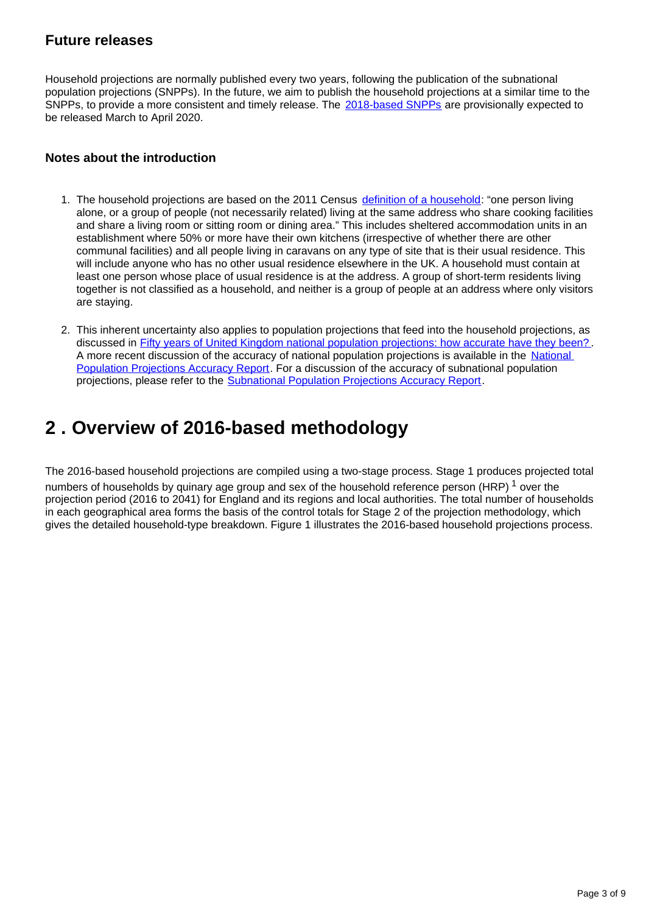#### **Future releases**

Household projections are normally published every two years, following the publication of the subnational population projections (SNPPs). In the future, we aim to publish the household projections at a similar time to the SNPPs, to provide a more consistent and timely release. The [2018-based SNPPs](https://www.ons.gov.uk/releases/subnationalpopulationprojectionsforengland2018based) are provisionally expected to be released March to April 2020.

#### **Notes about the introduction**

- 1. The household projections are based on the 2011 Census [definition of a household:](https://www.ons.gov.uk/census/2011census/2011censusdata/2011censususerguide/glossary) "one person living alone, or a group of people (not necessarily related) living at the same address who share cooking facilities and share a living room or sitting room or dining area." This includes sheltered accommodation units in an establishment where 50% or more have their own kitchens (irrespective of whether there are other communal facilities) and all people living in caravans on any type of site that is their usual residence. This will include anyone who has no other usual residence elsewhere in the UK. A household must contain at least one person whose place of usual residence is at the address. A group of short-term residents living together is not classified as a household, and neither is a group of people at an address where only visitors are staying.
- 2. This inherent uncertainty also applies to population projections that feed into the household projections, as discussed in **[Fifty years of United Kingdom national population projections: how accurate have they been?](https://pdfs.semanticscholar.org/96b3/f3d7b1a39c888771b69d999e9e7bdc34ec9a.pdf)** A more recent discussion of the accuracy of national population projections is available in the National [Population Projections Accuracy Report.](https://www.ons.gov.uk/peoplepopulationandcommunity/populationandmigration/populationprojections/methodologies/nationalpopulationprojectionsaccuracyreport) For a discussion of the accuracy of subnational population projections, please refer to the [Subnational Population Projections Accuracy Report](https://www.ons.gov.uk/peoplepopulationandcommunity/populationandmigration/populationprojections/methodologies/subnationalpopulationprojectionsaccuracyreport).

### <span id="page-2-0"></span>**2 . Overview of 2016-based methodology**

The 2016-based household projections are compiled using a two-stage process. Stage 1 produces projected total numbers of households by quinary age group and sex of the household reference person (HRP)  $1$  over the projection period (2016 to 2041) for England and its regions and local authorities. The total number of households in each geographical area forms the basis of the control totals for Stage 2 of the projection methodology, which gives the detailed household-type breakdown. Figure 1 illustrates the 2016-based household projections process.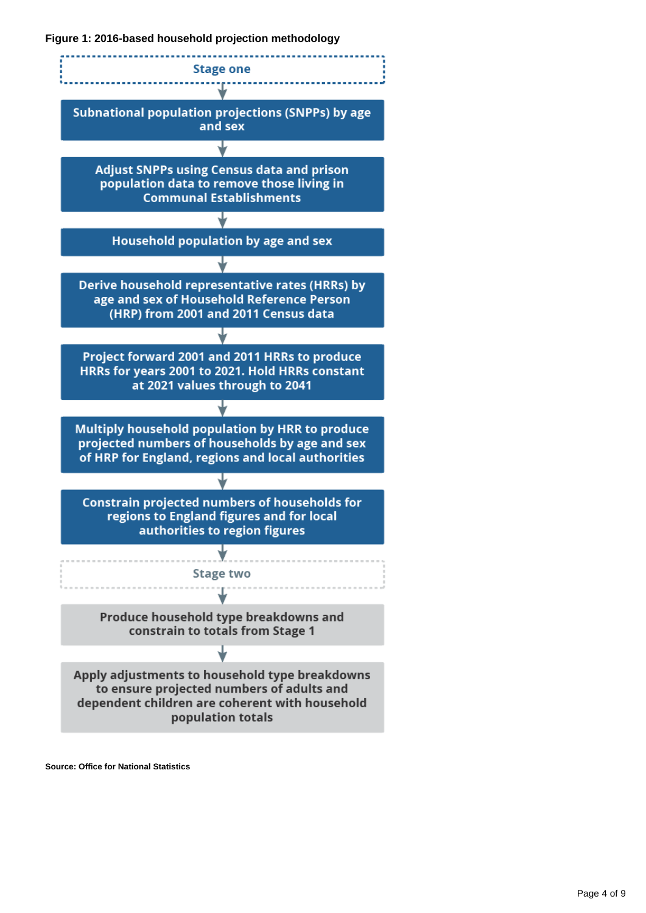**Figure 1: 2016-based household projection methodology**



**Source: Office for National Statistics**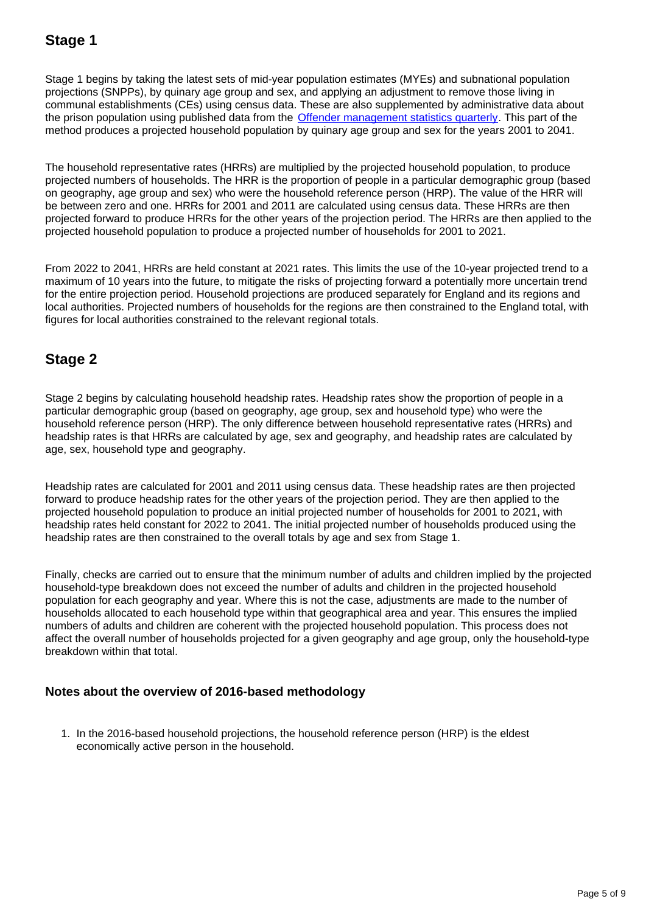### **Stage 1**

Stage 1 begins by taking the latest sets of mid-year population estimates (MYEs) and subnational population projections (SNPPs), by quinary age group and sex, and applying an adjustment to remove those living in communal establishments (CEs) using census data. These are also supplemented by administrative data about the prison population using published data from the **[Offender management statistics quarterly](https://www.gov.uk/government/collections/offender-management-statistics-quarterly)**. This part of the method produces a projected household population by quinary age group and sex for the years 2001 to 2041.

The household representative rates (HRRs) are multiplied by the projected household population, to produce projected numbers of households. The HRR is the proportion of people in a particular demographic group (based on geography, age group and sex) who were the household reference person (HRP). The value of the HRR will be between zero and one. HRRs for 2001 and 2011 are calculated using census data. These HRRs are then projected forward to produce HRRs for the other years of the projection period. The HRRs are then applied to the projected household population to produce a projected number of households for 2001 to 2021.

From 2022 to 2041, HRRs are held constant at 2021 rates. This limits the use of the 10-year projected trend to a maximum of 10 years into the future, to mitigate the risks of projecting forward a potentially more uncertain trend for the entire projection period. Household projections are produced separately for England and its regions and local authorities. Projected numbers of households for the regions are then constrained to the England total, with figures for local authorities constrained to the relevant regional totals.

### **Stage 2**

Stage 2 begins by calculating household headship rates. Headship rates show the proportion of people in a particular demographic group (based on geography, age group, sex and household type) who were the household reference person (HRP). The only difference between household representative rates (HRRs) and headship rates is that HRRs are calculated by age, sex and geography, and headship rates are calculated by age, sex, household type and geography.

Headship rates are calculated for 2001 and 2011 using census data. These headship rates are then projected forward to produce headship rates for the other years of the projection period. They are then applied to the projected household population to produce an initial projected number of households for 2001 to 2021, with headship rates held constant for 2022 to 2041. The initial projected number of households produced using the headship rates are then constrained to the overall totals by age and sex from Stage 1.

Finally, checks are carried out to ensure that the minimum number of adults and children implied by the projected household-type breakdown does not exceed the number of adults and children in the projected household population for each geography and year. Where this is not the case, adjustments are made to the number of households allocated to each household type within that geographical area and year. This ensures the implied numbers of adults and children are coherent with the projected household population. This process does not affect the overall number of households projected for a given geography and age group, only the household-type breakdown within that total.

#### **Notes about the overview of 2016-based methodology**

1. In the 2016-based household projections, the household reference person (HRP) is the eldest economically active person in the household.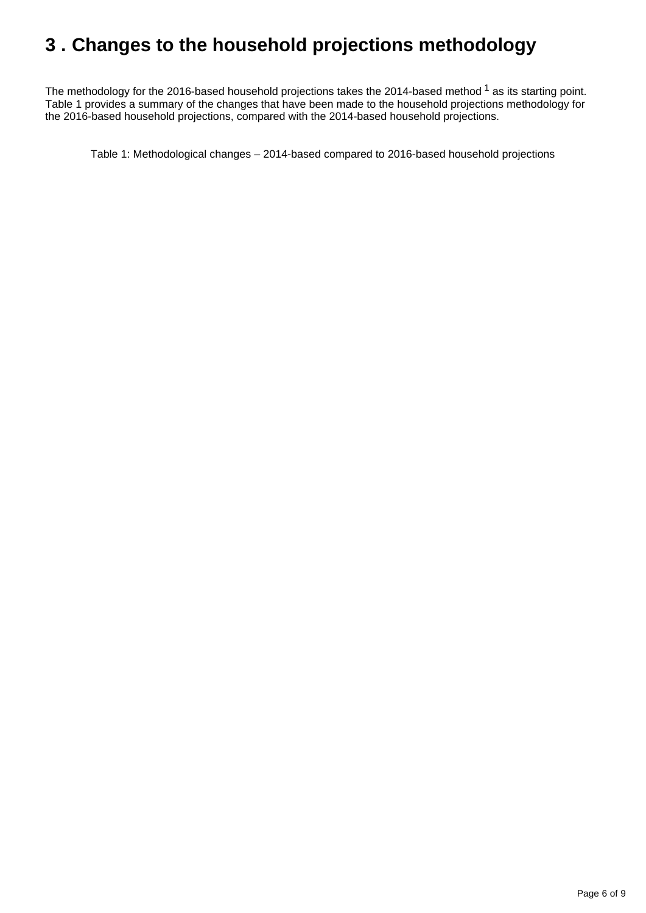## <span id="page-5-0"></span>**3 . Changes to the household projections methodology**

The methodology for the 2016-based household projections takes the 2014-based method  $1$  as its starting point. Table 1 provides a summary of the changes that have been made to the household projections methodology for the 2016-based household projections, compared with the 2014-based household projections.

Table 1: Methodological changes – 2014-based compared to 2016-based household projections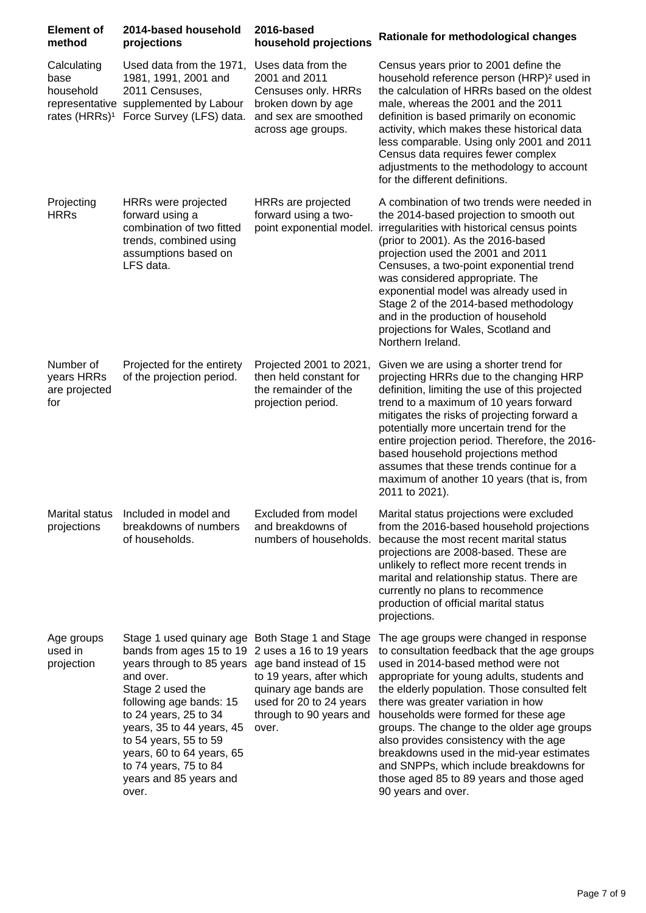| <b>Element of</b><br>method                                   | 2014-based household<br>projections                                                                                                                                                                                                                                                                                                                                                         | 2016-based<br>household projections                                                                                            | Rationale for methodological changes                                                                                                                                                                                                                                                                                                                                                                                                                                                                                                                        |
|---------------------------------------------------------------|---------------------------------------------------------------------------------------------------------------------------------------------------------------------------------------------------------------------------------------------------------------------------------------------------------------------------------------------------------------------------------------------|--------------------------------------------------------------------------------------------------------------------------------|-------------------------------------------------------------------------------------------------------------------------------------------------------------------------------------------------------------------------------------------------------------------------------------------------------------------------------------------------------------------------------------------------------------------------------------------------------------------------------------------------------------------------------------------------------------|
| Calculating<br>base<br>household<br>rates (HRRs) <sup>1</sup> | Used data from the 1971,<br>1981, 1991, 2001 and<br>2011 Censuses,<br>representative supplemented by Labour<br>Force Survey (LFS) data.                                                                                                                                                                                                                                                     | Uses data from the<br>2001 and 2011<br>Censuses only. HRRs<br>broken down by age<br>and sex are smoothed<br>across age groups. | Census years prior to 2001 define the<br>household reference person (HRP) <sup>2</sup> used in<br>the calculation of HRRs based on the oldest<br>male, whereas the 2001 and the 2011<br>definition is based primarily on economic<br>activity, which makes these historical data<br>less comparable. Using only 2001 and 2011<br>Census data requires fewer complex<br>adjustments to the methodology to account<br>for the different definitions.                                                                                                          |
| Projecting<br><b>HRRs</b>                                     | HRRs were projected<br>forward using a<br>combination of two fitted<br>trends, combined using<br>assumptions based on<br>LFS data.                                                                                                                                                                                                                                                          | HRRs are projected<br>forward using a two-<br>point exponential model.                                                         | A combination of two trends were needed in<br>the 2014-based projection to smooth out<br>irregularities with historical census points<br>(prior to 2001). As the 2016-based<br>projection used the 2001 and 2011<br>Censuses, a two-point exponential trend<br>was considered appropriate. The<br>exponential model was already used in<br>Stage 2 of the 2014-based methodology<br>and in the production of household<br>projections for Wales, Scotland and<br>Northern Ireland.                                                                          |
| Number of<br>years HRRs<br>are projected<br>for               | Projected for the entirety<br>of the projection period.                                                                                                                                                                                                                                                                                                                                     | Projected 2001 to 2021,<br>then held constant for<br>the remainder of the<br>projection period.                                | Given we are using a shorter trend for<br>projecting HRRs due to the changing HRP<br>definition, limiting the use of this projected<br>trend to a maximum of 10 years forward<br>mitigates the risks of projecting forward a<br>potentially more uncertain trend for the<br>entire projection period. Therefore, the 2016-<br>based household projections method<br>assumes that these trends continue for a<br>maximum of another 10 years (that is, from<br>2011 to 2021).                                                                                |
| Marital status<br>projections                                 | Included in model and<br>breakdowns of numbers<br>of households.                                                                                                                                                                                                                                                                                                                            | Excluded from model<br>and breakdowns of<br>numbers of households.                                                             | Marital status projections were excluded<br>from the 2016-based household projections<br>because the most recent marital status<br>projections are 2008-based. These are<br>unlikely to reflect more recent trends in<br>marital and relationship status. There are<br>currently no plans to recommence<br>production of official marital status<br>projections.                                                                                                                                                                                            |
| Age groups<br>used in<br>projection                           | Stage 1 used quinary age Both Stage 1 and Stage<br>bands from ages 15 to 19 2 uses a 16 to 19 years<br>years through to 85 years age band instead of 15<br>and over.<br>Stage 2 used the<br>following age bands: 15<br>to 24 years, 25 to 34<br>years, 35 to 44 years, 45<br>to 54 years, 55 to 59<br>years, 60 to 64 years, 65<br>to 74 years, 75 to 84<br>years and 85 years and<br>over. | to 19 years, after which<br>quinary age bands are<br>used for 20 to 24 years<br>through to 90 years and<br>over.               | The age groups were changed in response<br>to consultation feedback that the age groups<br>used in 2014-based method were not<br>appropriate for young adults, students and<br>the elderly population. Those consulted felt<br>there was greater variation in how<br>households were formed for these age<br>groups. The change to the older age groups<br>also provides consistency with the age<br>breakdowns used in the mid-year estimates<br>and SNPPs, which include breakdowns for<br>those aged 85 to 89 years and those aged<br>90 years and over. |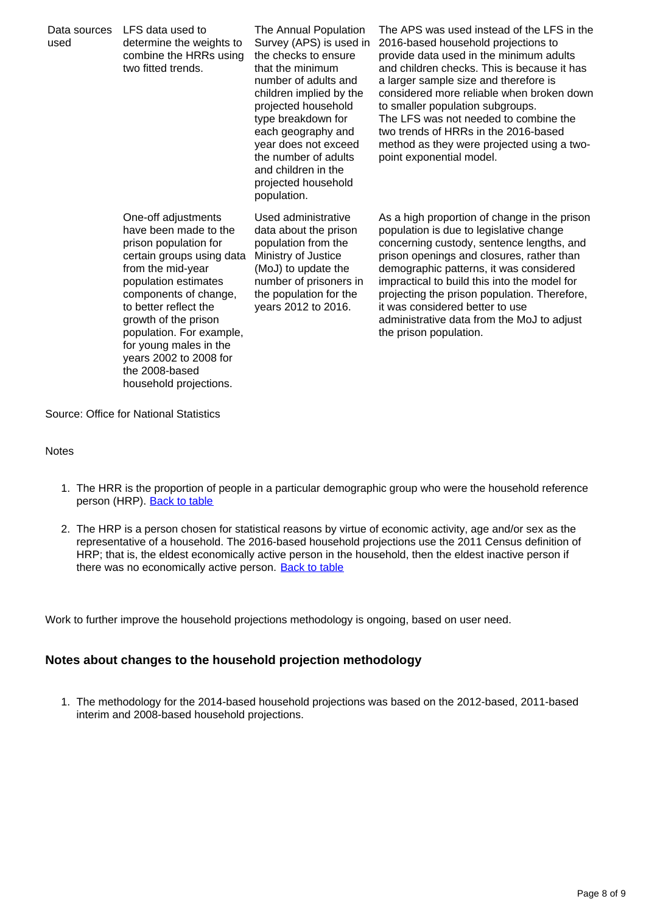| Data sources<br>used | LFS data used to<br>determine the weights to<br>combine the HRRs using<br>two fitted trends.                                                                                                                                                                                                                                                          | The Annual Population<br>Survey (APS) is used in<br>the checks to ensure<br>that the minimum<br>number of adults and<br>children implied by the<br>projected household<br>type breakdown for<br>each geography and<br>year does not exceed<br>the number of adults<br>and children in the<br>projected household<br>population. | The APS was used instead of the LFS in the<br>2016-based household projections to<br>provide data used in the minimum adults<br>and children checks. This is because it has<br>a larger sample size and therefore is<br>considered more reliable when broken down<br>to smaller population subgroups.<br>The LFS was not needed to combine the<br>two trends of HRRs in the 2016-based<br>method as they were projected using a two-<br>point exponential model. |
|----------------------|-------------------------------------------------------------------------------------------------------------------------------------------------------------------------------------------------------------------------------------------------------------------------------------------------------------------------------------------------------|---------------------------------------------------------------------------------------------------------------------------------------------------------------------------------------------------------------------------------------------------------------------------------------------------------------------------------|------------------------------------------------------------------------------------------------------------------------------------------------------------------------------------------------------------------------------------------------------------------------------------------------------------------------------------------------------------------------------------------------------------------------------------------------------------------|
|                      | One-off adjustments<br>have been made to the<br>prison population for<br>certain groups using data<br>from the mid-year<br>population estimates<br>components of change,<br>to better reflect the<br>growth of the prison<br>population. For example,<br>for young males in the<br>years 2002 to 2008 for<br>the 2008-based<br>household projections. | Used administrative<br>data about the prison<br>population from the<br>Ministry of Justice<br>(MoJ) to update the<br>number of prisoners in<br>the population for the<br>years 2012 to 2016.                                                                                                                                    | As a high proportion of change in the prison<br>population is due to legislative change<br>concerning custody, sentence lengths, and<br>prison openings and closures, rather than<br>demographic patterns, it was considered<br>impractical to build this into the model for<br>projecting the prison population. Therefore,<br>it was considered better to use<br>administrative data from the MoJ to adjust<br>the prison population.                          |

Source: Office for National Statistics

#### **Notes**

- 1. The HRR is the proportion of people in a particular demographic group who were the household reference person (HRP). [Back to table](#page-0-0)
- 2. The HRP is a person chosen for statistical reasons by virtue of economic activity, age and/or sex as the representative of a household. The 2016-based household projections use the 2011 Census definition of HRP; that is, the eldest economically active person in the household, then the eldest inactive person if there was no economically active person. [Back to table](#page-0-0)

Work to further improve the household projections methodology is ongoing, based on user need.

#### **Notes about changes to the household projection methodology**

1. The methodology for the 2014-based household projections was based on the 2012-based, 2011-based interim and 2008-based household projections.